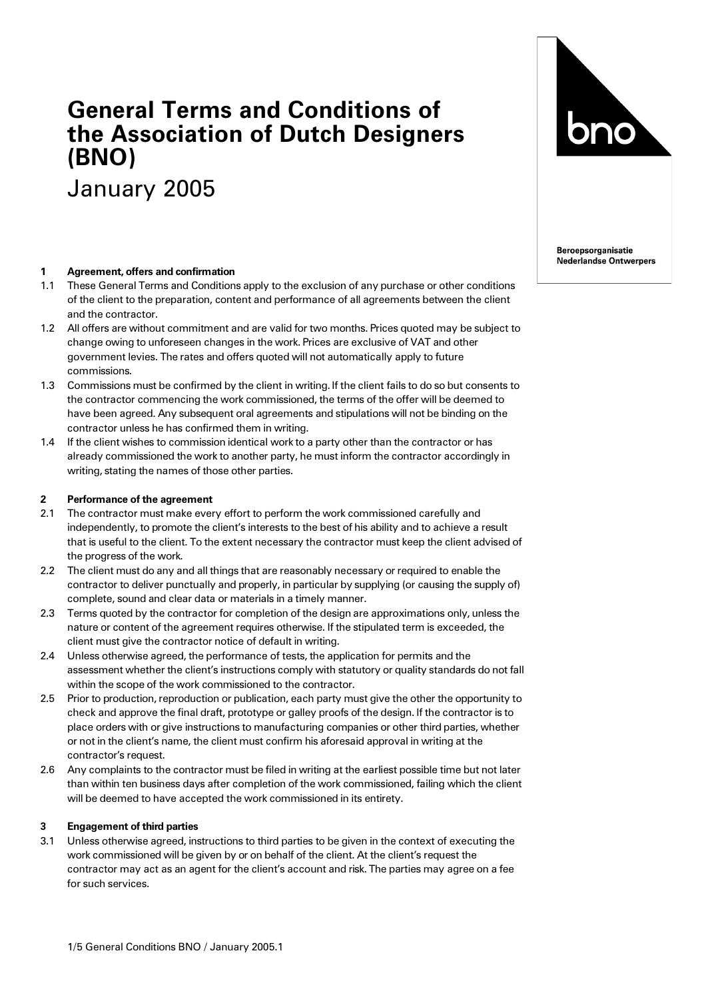# **General Terms and Conditions of the Association of Dutch Designers (BNO)**

January 2005

#### **1 Agreement, offers and confirmation**

- 1.1 These General Terms and Conditions apply to the exclusion of any purchase or other conditions of the client to the preparation, content and performance of all agreements between the client and the contractor.
- 1.2 All offers are without commitment and are valid for two months. Prices quoted may be subject to change owing to unforeseen changes in the work. Prices are exclusive of VAT and other government levies. The rates and offers quoted will not automatically apply to future commissions.
- 1.3 Commissions must be confirmed by the client in writing. If the client fails to do so but consents to the contractor commencing the work commissioned, the terms of the offer will be deemed to have been agreed. Any subsequent oral agreements and stipulations will not be binding on the contractor unless he has confirmed them in writing.
- 1.4 If the client wishes to commission identical work to a party other than the contractor or has already commissioned the work to another party, he must inform the contractor accordingly in writing, stating the names of those other parties.

#### **2 Performance of the agreement**

- 2.1 The contractor must make every effort to perform the work commissioned carefully and independently, to promote the client's interests to the best of his ability and to achieve a result that is useful to the client. To the extent necessary the contractor must keep the client advised of the progress of the work.
- 2.2 The client must do any and all things that are reasonably necessary or required to enable the contractor to deliver punctually and properly, in particular by supplying (or causing the supply of) complete, sound and clear data or materials in a timely manner.
- 2.3 Terms quoted by the contractor for completion of the design are approximations only, unless the nature or content of the agreement requires otherwise. If the stipulated term is exceeded, the client must give the contractor notice of default in writing.
- 2.4 Unless otherwise agreed, the performance of tests, the application for permits and the assessment whether the client's instructions comply with statutory or quality standards do not fall within the scope of the work commissioned to the contractor.
- 2.5 Prior to production, reproduction or publication, each party must give the other the opportunity to check and approve the final draft, prototype or galley proofs of the design. If the contractor is to place orders with or give instructions to manufacturing companies or other third parties, whether or not in the client's name, the client must confirm his aforesaid approval in writing at the contractor's request.
- 2.6 Any complaints to the contractor must be filed in writing at the earliest possible time but not later than within ten business days after completion of the work commissioned, failing which the client will be deemed to have accepted the work commissioned in its entirety.

#### **3 Engagement of third parties**

3.1 Unless otherwise agreed, instructions to third parties to be given in the context of executing the work commissioned will be given by or on behalf of the client. At the client's request the contractor may act as an agent for the client's account and risk. The parties may agree on a fee for such services.



**Beroepsorganisatie Nederlandse Ontwerpers**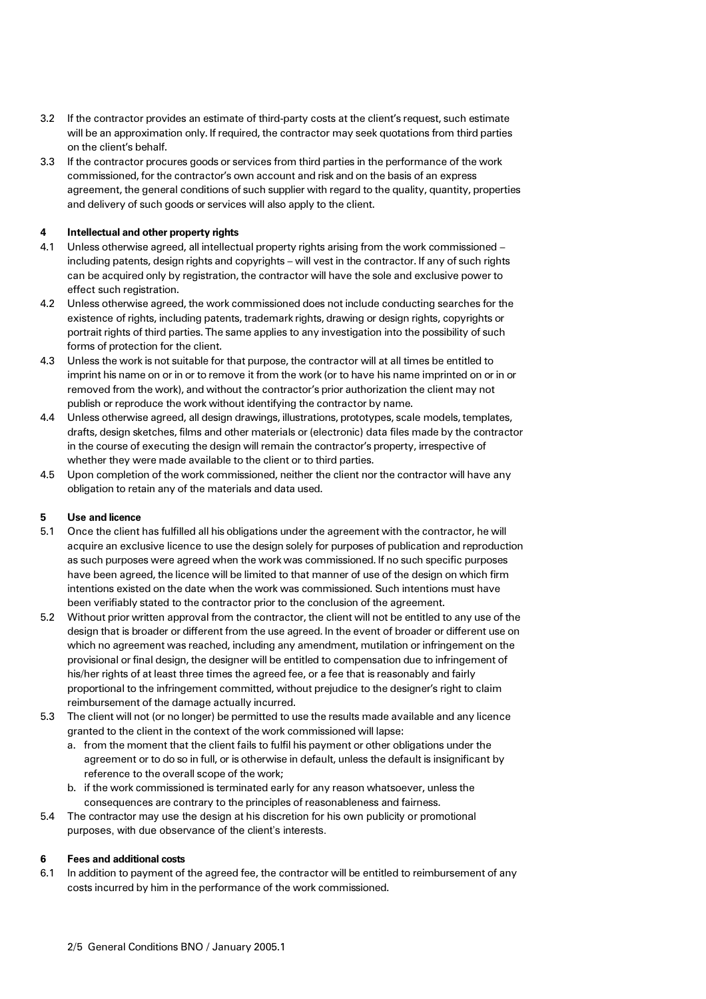- 3.2 If the contractor provides an estimate of third-party costs at the client's request, such estimate will be an approximation only. If required, the contractor may seek quotations from third parties on the client's behalf.
- 3.3 If the contractor procures goods or services from third parties in the performance of the work commissioned, for the contractor's own account and risk and on the basis of an express agreement, the general conditions of such supplier with regard to the quality, quantity, properties and delivery of such goods or services will also apply to the client.

# **4 Intellectual and other property rights**

- 4.1 Unless otherwise agreed, all intellectual property rights arising from the work commissioned including patents, design rights and copyrights – will vest in the contractor. If any of such rights can be acquired only by registration, the contractor will have the sole and exclusive power to effect such registration.
- 4.2 Unless otherwise agreed, the work commissioned does not include conducting searches for the existence of rights, including patents, trademark rights, drawing or design rights, copyrights or portrait rights of third parties. The same applies to any investigation into the possibility of such forms of protection for the client.
- 4.3 Unless the work is not suitable for that purpose, the contractor will at all times be entitled to imprint his name on or in or to remove it from the work (or to have his name imprinted on or in or removed from the work), and without the contractor's prior authorization the client may not publish or reproduce the work without identifying the contractor by name.
- 4.4 Unless otherwise agreed, all design drawings, illustrations, prototypes, scale models, templates, drafts, design sketches, films and other materials or (electronic) data files made by the contractor in the course of executing the design will remain the contractor's property, irrespective of whether they were made available to the client or to third parties.
- 4.5 Upon completion of the work commissioned, neither the client nor the contractor will have any obligation to retain any of the materials and data used.

# **5 Use and licence**

- 5.1 Once the client has fulfilled all his obligations under the agreement with the contractor, he will acquire an exclusive licence to use the design solely for purposes of publication and reproduction as such purposes were agreed when the work was commissioned. If no such specific purposes have been agreed, the licence will be limited to that manner of use of the design on which firm intentions existed on the date when the work was commissioned. Such intentions must have been verifiably stated to the contractor prior to the conclusion of the agreement.
- 5.2 Without prior written approval from the contractor, the client will not be entitled to any use of the design that is broader or different from the use agreed. In the event of broader or different use on which no agreement was reached, including any amendment, mutilation or infringement on the provisional or final design, the designer will be entitled to compensation due to infringement of his/her rights of at least three times the agreed fee, or a fee that is reasonably and fairly proportional to the infringement committed, without prejudice to the designer's right to claim reimbursement of the damage actually incurred.
- 5.3 The client will not (or no longer) be permitted to use the results made available and any licence granted to the client in the context of the work commissioned will lapse:
	- a. from the moment that the client fails to fulfil his payment or other obligations under the agreement or to do so in full, or is otherwise in default, unless the default is insignificant by reference to the overall scope of the work;
	- b. if the work commissioned is terminated early for any reason whatsoever, unless the consequences are contrary to the principles of reasonableness and fairness.
- 5.4 The contractor may use the design at his discretion for his own publicity or promotional purposes, with due observance of the client's interests.

#### **6 Fees and additional costs**

6.1 In addition to payment of the agreed fee, the contractor will be entitled to reimbursement of any costs incurred by him in the performance of the work commissioned.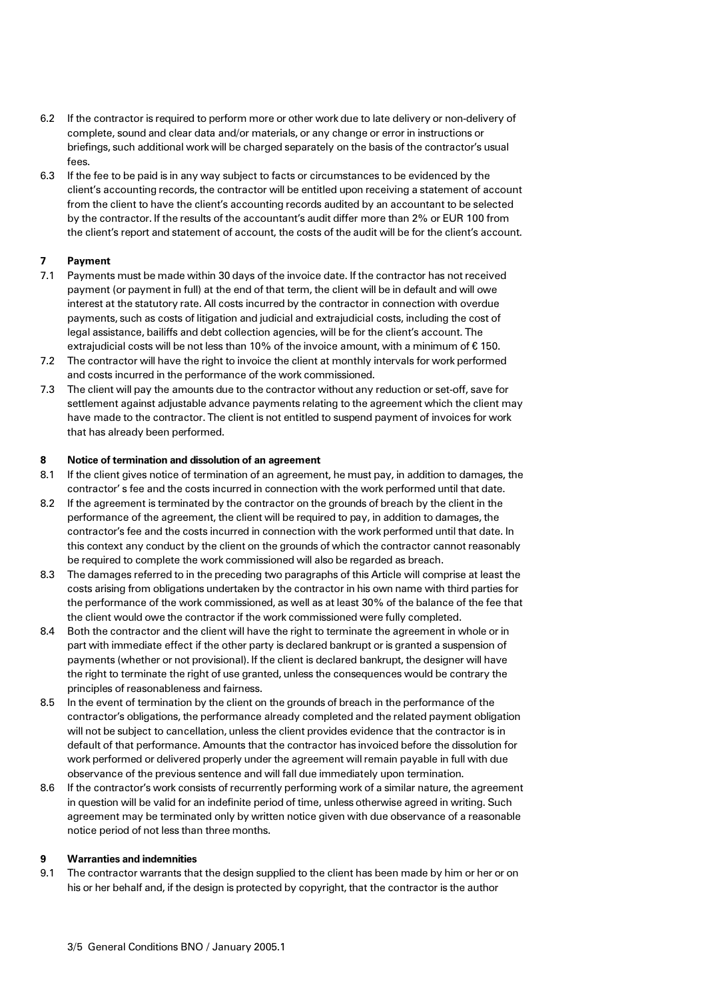- 6.2 If the contractor is required to perform more or other work due to late delivery or non-delivery of complete, sound and clear data and/or materials, or any change or error in instructions or briefings, such additional work will be charged separately on the basis of the contractor's usual fees.
- 6.3 If the fee to be paid is in any way subject to facts or circumstances to be evidenced by the client's accounting records, the contractor will be entitled upon receiving a statement of account from the client to have the client's accounting records audited by an accountant to be selected by the contractor. If the results of the accountant's audit differ more than 2% or EUR 100 from the client's report and statement of account, the costs of the audit will be for the client's account.

# **7 Payment**

- 7.1 Payments must be made within 30 days of the invoice date. If the contractor has not received payment (or payment in full) at the end of that term, the client will be in default and will owe interest at the statutory rate. All costs incurred by the contractor in connection with overdue payments, such as costs of litigation and judicial and extrajudicial costs, including the cost of legal assistance, bailiffs and debt collection agencies, will be for the client's account. The extrajudicial costs will be not less than 10% of the invoice amount, with a minimum of  $\epsilon$  150.
- 7.2 The contractor will have the right to invoice the client at monthly intervals for work performed and costs incurred in the performance of the work commissioned.
- 7.3 The client will pay the amounts due to the contractor without any reduction or set-off, save for settlement against adjustable advance payments relating to the agreement which the client may have made to the contractor. The client is not entitled to suspend payment of invoices for work that has already been performed.

### **8 Notice of termination and dissolution of an agreement**

- 8.1 If the client gives notice of termination of an agreement, he must pay, in addition to damages, the contractor' s fee and the costs incurred in connection with the work performed until that date.
- 8.2 If the agreement is terminated by the contractor on the grounds of breach by the client in the performance of the agreement, the client will be required to pay, in addition to damages, the contractor's fee and the costs incurred in connection with the work performed until that date. In this context any conduct by the client on the grounds of which the contractor cannot reasonably be required to complete the work commissioned will also be regarded as breach.
- 8.3 The damages referred to in the preceding two paragraphs of this Article will comprise at least the costs arising from obligations undertaken by the contractor in his own name with third parties for the performance of the work commissioned, as well as at least 30% of the balance of the fee that the client would owe the contractor if the work commissioned were fully completed.
- 8.4 Both the contractor and the client will have the right to terminate the agreement in whole or in part with immediate effect if the other party is declared bankrupt or is granted a suspension of payments (whether or not provisional). If the client is declared bankrupt, the designer will have the right to terminate the right of use granted, unless the consequences would be contrary the principles of reasonableness and fairness.
- 8.5 In the event of termination by the client on the grounds of breach in the performance of the contractor's obligations, the performance already completed and the related payment obligation will not be subject to cancellation, unless the client provides evidence that the contractor is in default of that performance. Amounts that the contractor has invoiced before the dissolution for work performed or delivered properly under the agreement willremain payable in full with due observance of the previous sentence and will fall due immediately upon termination.
- 8.6 If the contractor's work consists of recurrently performing work of a similar nature, the agreement in question will be valid for an indefinite period of time, unless otherwise agreed in writing. Such agreement may be terminated only by written notice given with due observance of a reasonable notice period of not less than three months.

#### **9 Warranties and indemnities**

9.1 The contractor warrants that the design supplied to the client has been made by him or her or on his or her behalf and, if the design is protected by copyright, that the contractor is the author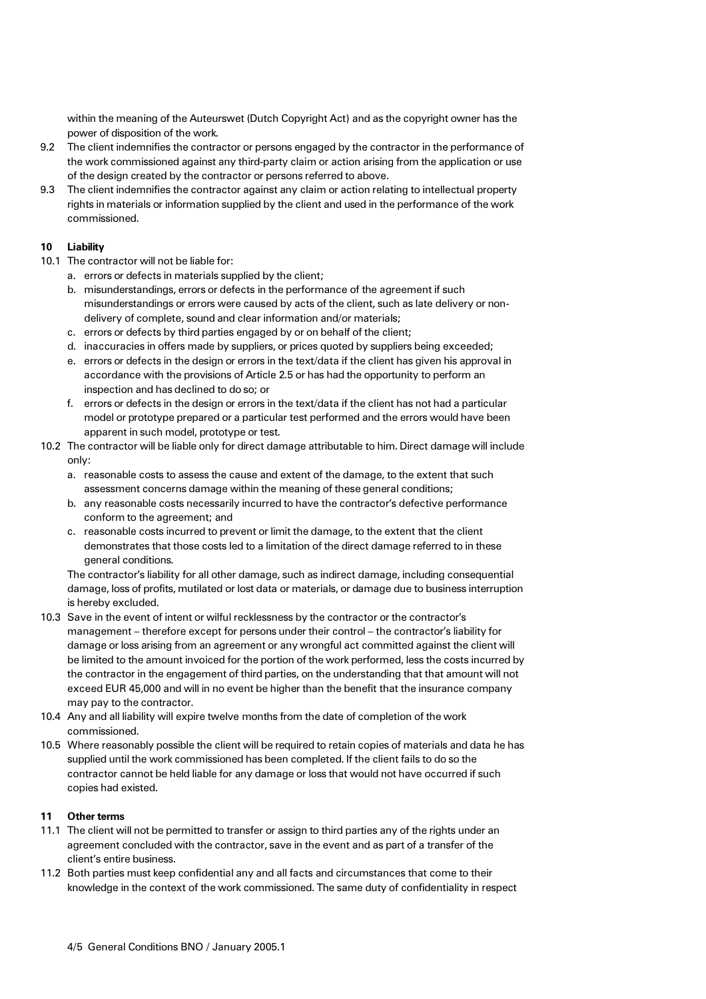within the meaning of the Auteurswet (Dutch Copyright Act) and as the copyright owner has the power of disposition of the work.

- 9.2 The client indemnifies the contractor or persons engaged by the contractor in the performance of the work commissioned against any third-party claim or action arising from the application or use of the design created by the contractor or persons referred to above.
- 9.3 The client indemnifies the contractor against any claim or action relating to intellectual property rights in materials or information supplied by the client and used in the performance of the work commissioned.

## **10 Liability**

- 10.1 The contractor will not be liable for:
	- a. errors or defects in materials supplied by the client;
	- b. misunderstandings, errors or defects in the performance of the agreement if such misunderstandings or errors were caused by acts of the client, such as late delivery or nondelivery of complete, sound and clear information and/or materials;
	- c. errors or defects by third parties engaged by or on behalf of the client;
	- d. inaccuracies in offers made by suppliers, or prices quoted by suppliers being exceeded;
	- e. errors or defects in the design or errors in the text/data if the client has given his approval in accordance with the provisions of Article 2.5 or has had the opportunity to perform an inspection and has declined to do so; or
	- f. errors or defects in the design or errors in the text/data if the client has not had a particular model or prototype prepared or a particular test performed and the errors would have been apparent in such model, prototype or test.
- 10.2 The contractor will be liable only for direct damage attributable to him. Direct damage will include only:
	- a. reasonable costs to assess the cause and extent of the damage, to the extent that such assessment concerns damage within the meaning of these general conditions;
	- b. any reasonable costs necessarily incurred to have the contractor's defective performance conform to the agreement; and
	- c. reasonable costs incurred to prevent or limit the damage, to the extent that the client demonstrates that those costs led to a limitation of the direct damage referred to in these general conditions.

The contractor's liability for all other damage, such as indirect damage, including consequential damage, loss of profits, mutilated or lost data or materials, or damage due to business interruption is hereby excluded.

- 10.3 Save in the event of intent or wilful recklessness by the contractor or the contractor's management – therefore except for persons under their control – the contractor's liability for damage or loss arising from an agreement or any wrongful act committed against the client will be limited to the amount invoiced for the portion of the work performed, less the costs incurred by the contractor in the engagement of third parties, on the understanding that that amount will not exceed EUR 45,000 and will in no event be higher than the benefit that the insurance company may pay to the contractor.
- 10.4 Any and all liability will expire twelve months from the date of completion of the work commissioned.
- 10.5 Where reasonably possible the client will be required to retain copies of materials and data he has supplied until the work commissioned has been completed. If the client fails to do so the contractor cannot be held liable for any damage or loss that would not have occurred if such copies had existed.

#### **11 Other terms**

- 11.1 The client will not be permitted to transfer or assign to third parties any of the rights under an agreement concluded with the contractor, save in the event and as part of a transfer of the client's entire business.
- 11.2 Both parties must keep confidential any and all facts and circumstances that come to their knowledge in the context of the work commissioned. The same duty of confidentiality in respect